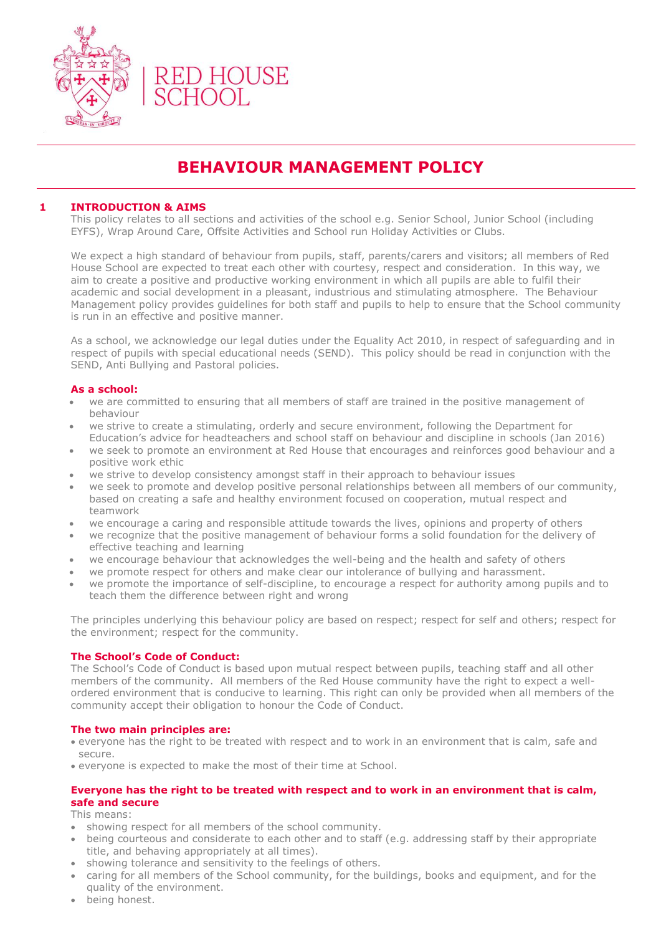

# **BEHAVIOUR MANAGEMENT POLICY**

## **1 INTRODUCTION & AIMS**

This policy relates to all sections and activities of the school e.g. Senior School, Junior School (including EYFS), Wrap Around Care, Offsite Activities and School run Holiday Activities or Clubs.

We expect a high standard of behaviour from pupils, staff, parents/carers and visitors; all members of Red House School are expected to treat each other with courtesy, respect and consideration. In this way, we aim to create a positive and productive working environment in which all pupils are able to fulfil their academic and social development in a pleasant, industrious and stimulating atmosphere. The Behaviour Management policy provides guidelines for both staff and pupils to help to ensure that the School community is run in an effective and positive manner.

As a school, we acknowledge our legal duties under the Equality Act 2010, in respect of safeguarding and in respect of pupils with special educational needs (SEND). This policy should be read in conjunction with the SEND, Anti Bullying and Pastoral policies.

#### **As a school:**

- we are committed to ensuring that all members of staff are trained in the positive management of behaviour
- we strive to create a stimulating, orderly and secure environment, following the Department for Education's advice for headteachers and school staff on behaviour and discipline in schools (Jan 2016)
- we seek to promote an environment at Red House that encourages and reinforces good behaviour and a positive work ethic
- we strive to develop consistency amongst staff in their approach to behaviour issues
- we seek to promote and develop positive personal relationships between all members of our community, based on creating a safe and healthy environment focused on cooperation, mutual respect and teamwork
- we encourage a caring and responsible attitude towards the lives, opinions and property of others
- we recognize that the positive management of behaviour forms a solid foundation for the delivery of effective teaching and learning
- we encourage behaviour that acknowledges the well-being and the health and safety of others
- we promote respect for others and make clear our intolerance of bullying and harassment.
- we promote the importance of self-discipline, to encourage a respect for authority among pupils and to teach them the difference between right and wrong

The principles underlying this behaviour policy are based on respect; respect for self and others; respect for the environment; respect for the community.

## **The School's Code of Conduct:**

The School's Code of Conduct is based upon mutual respect between pupils, teaching staff and all other members of the community. All members of the Red House community have the right to expect a wellordered environment that is conducive to learning. This right can only be provided when all members of the community accept their obligation to honour the Code of Conduct.

#### **The two main principles are:**

- everyone has the right to be treated with respect and to work in an environment that is calm, safe and secure.
- everyone is expected to make the most of their time at School.

## **Everyone has the right to be treated with respect and to work in an environment that is calm, safe and secure**

This means:

- showing respect for all members of the school community.
- being courteous and considerate to each other and to staff (e.g. addressing staff by their appropriate title, and behaving appropriately at all times).
- showing tolerance and sensitivity to the feelings of others.
- caring for all members of the School community, for the buildings, books and equipment, and for the quality of the environment.
- being honest.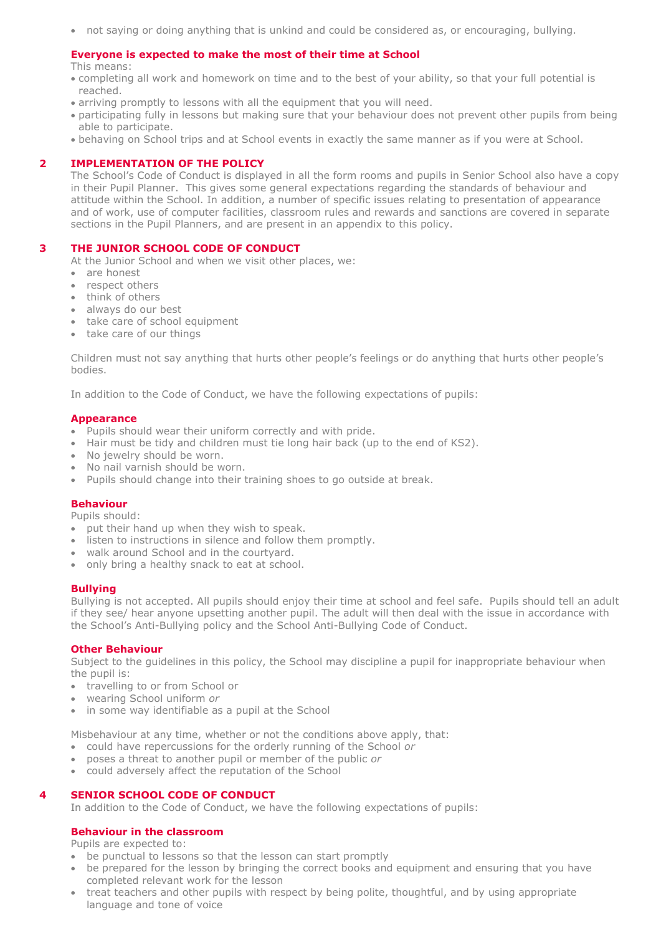• not saying or doing anything that is unkind and could be considered as, or encouraging, bullying.

## **Everyone is expected to make the most of their time at School**

This means:

- completing all work and homework on time and to the best of your ability, so that your full potential is reached.
- arriving promptly to lessons with all the equipment that you will need.
- participating fully in lessons but making sure that your behaviour does not prevent other pupils from being able to participate.
- behaving on School trips and at School events in exactly the same manner as if you were at School.

# **2 IMPLEMENTATION OF THE POLICY**

The School's Code of Conduct is displayed in all the form rooms and pupils in Senior School also have a copy in their Pupil Planner. This gives some general expectations regarding the standards of behaviour and attitude within the School. In addition, a number of specific issues relating to presentation of appearance and of work, use of computer facilities, classroom rules and rewards and sanctions are covered in separate sections in the Pupil Planners, and are present in an appendix to this policy.

## **3 THE JUNIOR SCHOOL CODE OF CONDUCT**

At the Junior School and when we visit other places, we:

- are honest
- respect others
- think of others
- always do our best
- take care of school equipment
- take care of our things

Children must not say anything that hurts other people's feelings or do anything that hurts other people's bodies.

In addition to the Code of Conduct, we have the following expectations of pupils:

#### **Appearance**

- Pupils should wear their uniform correctly and with pride.
- Hair must be tidy and children must tie long hair back (up to the end of KS2).
- No jewelry should be worn.
- No nail varnish should be worn.
- Pupils should change into their training shoes to go outside at break.

## **Behaviour**

Pupils should:

- put their hand up when they wish to speak.
- listen to instructions in silence and follow them promptly.
- walk around School and in the courtyard.
- only bring a healthy snack to eat at school.

## **Bullying**

Bullying is not accepted. All pupils should enjoy their time at school and feel safe. Pupils should tell an adult if they see/ hear anyone upsetting another pupil. The adult will then deal with the issue in accordance with the School's Anti-Bullying policy and the School Anti-Bullying Code of Conduct.

## **Other Behaviour**

Subject to the guidelines in this policy, the School may discipline a pupil for inappropriate behaviour when the pupil is:

- travelling to or from School or
- wearing School uniform *or*
- in some way identifiable as a pupil at the School

Misbehaviour at any time, whether or not the conditions above apply, that:

- could have repercussions for the orderly running of the School *or*
- poses a threat to another pupil or member of the public *or*
- could adversely affect the reputation of the School

# **4 SENIOR SCHOOL CODE OF CONDUCT**

In addition to the Code of Conduct, we have the following expectations of pupils:

## **Behaviour in the classroom**

Pupils are expected to:

- be punctual to lessons so that the lesson can start promptly
- be prepared for the lesson by bringing the correct books and equipment and ensuring that you have completed relevant work for the lesson
- treat teachers and other pupils with respect by being polite, thoughtful, and by using appropriate language and tone of voice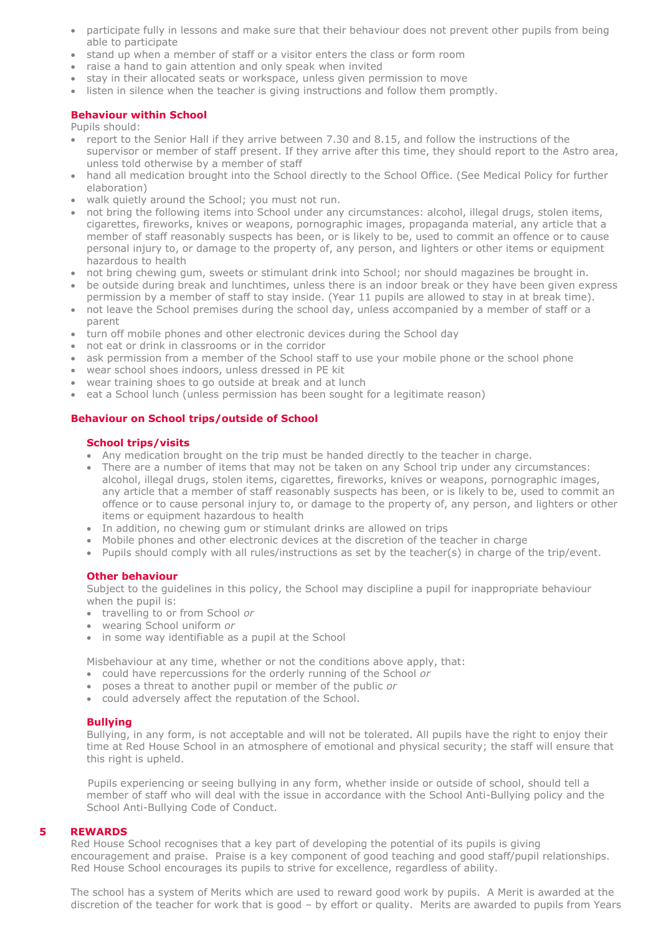- participate fully in lessons and make sure that their behaviour does not prevent other pupils from being able to participate
- stand up when a member of staff or a visitor enters the class or form room
- raise a hand to gain attention and only speak when invited
- stay in their allocated seats or workspace, unless given permission to move
- listen in silence when the teacher is giving instructions and follow them promptly.

# **Behaviour within School**

Pupils should:

- report to the Senior Hall if they arrive between 7.30 and 8.15, and follow the instructions of the supervisor or member of staff present. If they arrive after this time, they should report to the Astro area, unless told otherwise by a member of staff
- hand all medication brought into the School directly to the School Office. (See Medical Policy for further elaboration)
- walk quietly around the School; you must not run.
- not bring the following items into School under any circumstances: alcohol, illegal drugs, stolen items, cigarettes, fireworks, knives or weapons, pornographic images, propaganda material, any article that a member of staff reasonably suspects has been, or is likely to be, used to commit an offence or to cause personal injury to, or damage to the property of, any person, and lighters or other items or equipment hazardous to health
- not bring chewing gum, sweets or stimulant drink into School; nor should magazines be brought in.
- be outside during break and lunchtimes, unless there is an indoor break or they have been given express permission by a member of staff to stay inside. (Year 11 pupils are allowed to stay in at break time).
- not leave the School premises during the school day, unless accompanied by a member of staff or a parent
- turn off mobile phones and other electronic devices during the School day
- not eat or drink in classrooms or in the corridor
- ask permission from a member of the School staff to use your mobile phone or the school phone
- wear school shoes indoors, unless dressed in PE kit
- wear training shoes to go outside at break and at lunch
- eat a School lunch (unless permission has been sought for a legitimate reason)

## **Behaviour on School trips/outside of School**

#### **School trips/visits**

- Any medication brought on the trip must be handed directly to the teacher in charge.
- There are a number of items that may not be taken on any School trip under any circumstances: alcohol, illegal drugs, stolen items, cigarettes, fireworks, knives or weapons, pornographic images, any article that a member of staff reasonably suspects has been, or is likely to be, used to commit an offence or to cause personal injury to, or damage to the property of, any person, and lighters or other items or equipment hazardous to health
- In addition, no chewing gum or stimulant drinks are allowed on trips
- Mobile phones and other electronic devices at the discretion of the teacher in charge
- Pupils should comply with all rules/instructions as set by the teacher(s) in charge of the trip/event.

## **Other behaviour**

Subject to the guidelines in this policy, the School may discipline a pupil for inappropriate behaviour when the pupil is:

- travelling to or from School *or*
- wearing School uniform *or*
- in some way identifiable as a pupil at the School

Misbehaviour at any time, whether or not the conditions above apply, that:

- could have repercussions for the orderly running of the School *or*
- poses a threat to another pupil or member of the public *or*
- could adversely affect the reputation of the School.

## **Bullying**

Bullying, in any form, is not acceptable and will not be tolerated. All pupils have the right to enjoy their time at Red House School in an atmosphere of emotional and physical security; the staff will ensure that this right is upheld.

Pupils experiencing or seeing bullying in any form, whether inside or outside of school, should tell a member of staff who will deal with the issue in accordance with the School Anti-Bullying policy and the School Anti-Bullying Code of Conduct.

#### **5 REWARDS**

Red House School recognises that a key part of developing the potential of its pupils is giving encouragement and praise. Praise is a key component of good teaching and good staff/pupil relationships. Red House School encourages its pupils to strive for excellence, regardless of ability.

The school has a system of Merits which are used to reward good work by pupils. A Merit is awarded at the discretion of the teacher for work that is good – by effort or quality. Merits are awarded to pupils from Years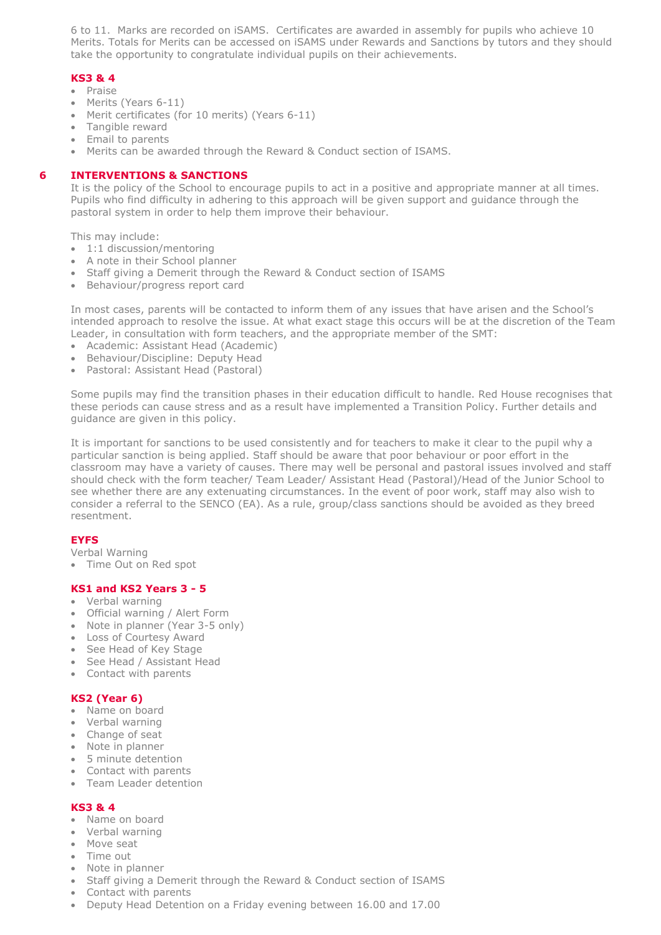6 to 11. Marks are recorded on iSAMS. Certificates are awarded in assembly for pupils who achieve 10 Merits. Totals for Merits can be accessed on iSAMS under Rewards and Sanctions by tutors and they should take the opportunity to congratulate individual pupils on their achievements.

# **KS3 & 4**

- Praise
- Merits (Years 6-11)
- Merit certificates (for 10 merits) (Years 6-11)
- Tangible reward
- Email to parents
- Merits can be awarded through the Reward & Conduct section of ISAMS.

## **6 INTERVENTIONS & SANCTIONS**

It is the policy of the School to encourage pupils to act in a positive and appropriate manner at all times. Pupils who find difficulty in adhering to this approach will be given support and guidance through the pastoral system in order to help them improve their behaviour.

This may include:

- 1:1 discussion/mentoring
- A note in their School planner
- Staff giving a Demerit through the Reward & Conduct section of ISAMS
- Behaviour/progress report card

In most cases, parents will be contacted to inform them of any issues that have arisen and the School's intended approach to resolve the issue. At what exact stage this occurs will be at the discretion of the Team Leader, in consultation with form teachers, and the appropriate member of the SMT:

- Academic: Assistant Head (Academic)
- Behaviour/Discipline: Deputy Head
- Pastoral: Assistant Head (Pastoral)

Some pupils may find the transition phases in their education difficult to handle. Red House recognises that these periods can cause stress and as a result have implemented a Transition Policy. Further details and guidance are given in this policy.

It is important for sanctions to be used consistently and for teachers to make it clear to the pupil why a particular sanction is being applied. Staff should be aware that poor behaviour or poor effort in the classroom may have a variety of causes. There may well be personal and pastoral issues involved and staff should check with the form teacher/ Team Leader/ Assistant Head (Pastoral)/Head of the Junior School to see whether there are any extenuating circumstances. In the event of poor work, staff may also wish to consider a referral to the SENCO (EA). As a rule, group/class sanctions should be avoided as they breed resentment.

## **EYFS**

Verbal Warning

• Time Out on Red spot

## **KS1 and KS2 Years 3 - 5**

- Verbal warning
- Official warning / Alert Form
- Note in planner (Year 3-5 only)
- Loss of Courtesy Award
- See Head of Key Stage
- See Head / Assistant Head
- Contact with parents

# **KS2 (Year 6)**

- Name on board
- Verbal warning
- Change of seat
- Note in planner
- 5 minute detention
- Contact with parents
- Team Leader detention

## **KS3 & 4**

- Name on board
- Verbal warning
- Move seat
- Time out
- Note in planner
- Staff giving a Demerit through the Reward & Conduct section of ISAMS
- Contact with parents
- Deputy Head Detention on a Friday evening between 16.00 and 17.00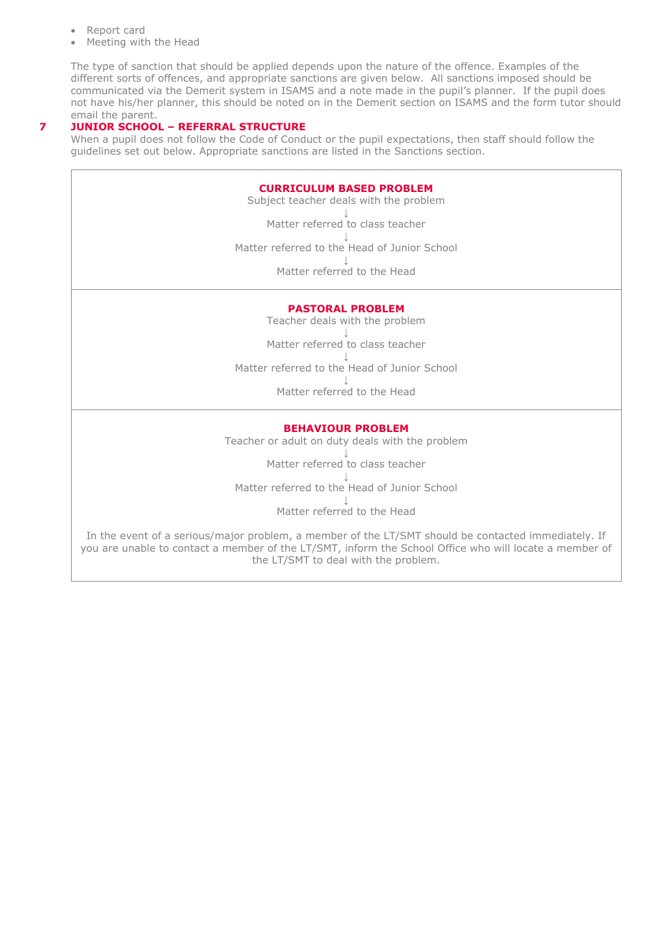- Report card
- Meeting with the Head

The type of sanction that should be applied depends upon the nature of the offence. Examples of the different sorts of offences, and appropriate sanctions are given below. All sanctions imposed should be communicated via the Demerit system in ISAMS and a note made in the pupil's planner. If the pupil does not have his/her planner, this should be noted on in the Demerit section on ISAMS and the form tutor should email the parent.

# **7 JUNIOR SCHOOL – REFERRAL STRUCTURE**

When a pupil does not follow the Code of Conduct or the pupil expectations, then staff should follow the guidelines set out below. Appropriate sanctions are listed in the Sanctions section.

| <b>CURRICULUM BASED PROBLEM</b><br>Subject teacher deals with the problem |
|---------------------------------------------------------------------------|
| Matter referred to class teacher                                          |
| Matter referred to the Head of Junior School                              |
| Matter referred to the Head                                               |

# **PASTORAL PROBLEM**

Teacher deals with the problem

↓ Matter referred to class teacher

↓ Matter referred to the Head of Junior School

> ↓ Matter referred to the Head

## **BEHAVIOUR PROBLEM**

Teacher or adult on duty deals with the problem

↓ Matter referred to class teacher ↓

Matter referred to the Head of Junior School ↓

Matter referred to the Head

In the event of a serious/major problem, a member of the LT/SMT should be contacted immediately. If you are unable to contact a member of the LT/SMT, inform the School Office who will locate a member of the LT/SMT to deal with the problem.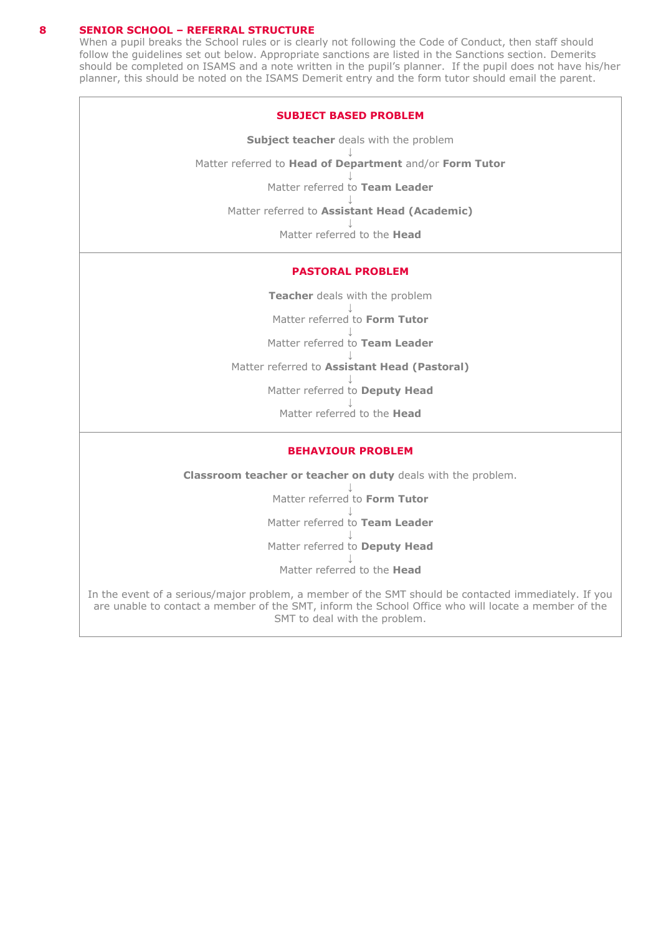## **8 SENIOR SCHOOL – REFERRAL STRUCTURE**

When a pupil breaks the School rules or is clearly not following the Code of Conduct, then staff should follow the guidelines set out below. Appropriate sanctions are listed in the Sanctions section. Demerits should be completed on ISAMS and a note written in the pupil's planner. If the pupil does not have his/her planner, this should be noted on the ISAMS Demerit entry and the form tutor should email the parent.

#### **SUBJECT BASED PROBLEM**

**Subject teacher** deals with the problem ↓ Matter referred to **Head of Department** and/or **Form Tutor** ↓ Matter referred to **Team Leader** ↓ Matter referred to **Assistant Head (Academic)**

↓

Matter referred to the **Head**

## **PASTORAL PROBLEM**

**Teacher** deals with the problem

↓ Matter referred to **Form Tutor**

↓ Matter referred to **Team Leader**

↓ Matter referred to **Assistant Head (Pastoral)**

> ↓ Matter referred to **Deputy Head**

↓ Matter referred to the **Head**

#### **BEHAVIOUR PROBLEM**

**Classroom teacher or teacher on duty** deals with the problem.

↓ Matter referred to **Form Tutor** ↓ Matter referred to **Team Leader** ↓ Matter referred to **Deputy Head** ↓ Matter referred to the **Head**

In the event of a serious/major problem, a member of the SMT should be contacted immediately. If you are unable to contact a member of the SMT, inform the School Office who will locate a member of the SMT to deal with the problem.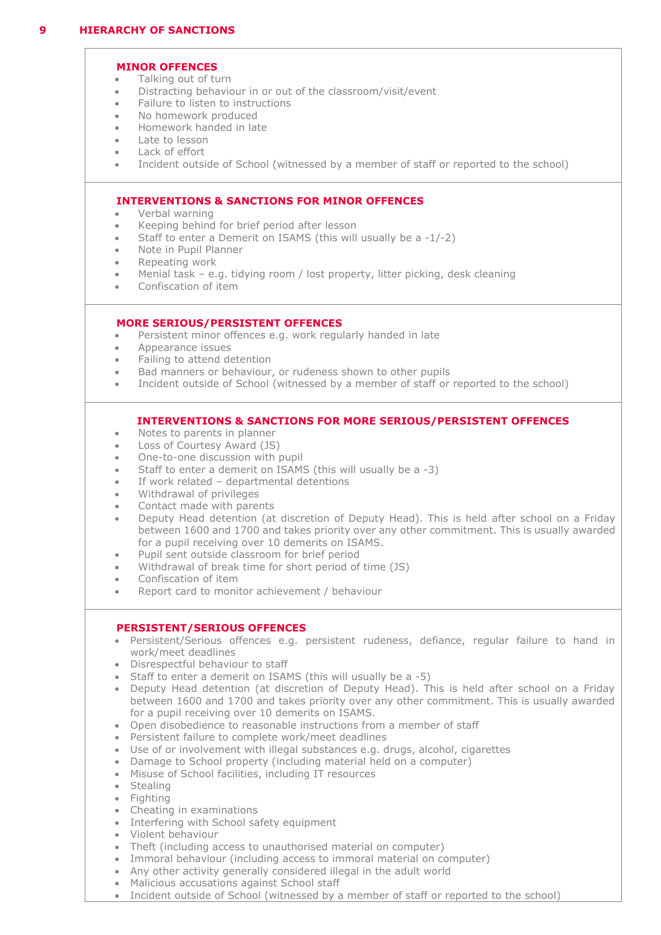## **MINOR OFFENCES**

- Talking out of turn
- Distracting behaviour in or out of the classroom/visit/event
- Failure to listen to instructions
- No homework produced
- Homework handed in late
- Late to lesson
- Lack of effort
- Incident outside of School (witnessed by a member of staff or reported to the school)

## **INTERVENTIONS & SANCTIONS FOR MINOR OFFENCES**

- Verbal warning
- Keeping behind for brief period after lesson
- Staff to enter a Demerit on ISAMS (this will usually be a -1/-2)
- Note in Pupil Planner
- Repeating work
- Menial task e.g. tidying room / lost property, litter picking, desk cleaning
- Confiscation of item

## **MORE SERIOUS/PERSISTENT OFFENCES**

- Persistent minor offences e.g. work regularly handed in late
- Appearance issues
- Failing to attend detention
- Bad manners or behaviour, or rudeness shown to other pupils
- Incident outside of School (witnessed by a member of staff or reported to the school)

## **INTERVENTIONS & SANCTIONS FOR MORE SERIOUS/PERSISTENT OFFENCES**

- Notes to parents in planner
- Loss of Courtesy Award (JS)
- One-to-one discussion with pupil
- Staff to enter a demerit on ISAMS (this will usually be a -3)
- If work related departmental detentions
- Withdrawal of privileges
- Contact made with parents
- Deputy Head detention (at discretion of Deputy Head). This is held after school on a Friday between 1600 and 1700 and takes priority over any other commitment. This is usually awarded for a pupil receiving over 10 demerits on ISAMS.
- Pupil sent outside classroom for brief period
- Withdrawal of break time for short period of time (JS)
- Confiscation of item
- Report card to monitor achievement / behaviour

## **PERSISTENT/SERIOUS OFFENCES**

- Persistent/Serious offences e.g. persistent rudeness, defiance, regular failure to hand in work/meet deadlines
- Disrespectful behaviour to staff
- Staff to enter a demerit on ISAMS (this will usually be a -5)
- Deputy Head detention (at discretion of Deputy Head). This is held after school on a Friday between 1600 and 1700 and takes priority over any other commitment. This is usually awarded for a pupil receiving over 10 demerits on ISAMS.
- Open disobedience to reasonable instructions from a member of staff
- Persistent failure to complete work/meet deadlines
- Use of or involvement with illegal substances e.g. drugs, alcohol, cigarettes
- Damage to School property (including material held on a computer)
- Misuse of School facilities, including IT resources
- Stealing
- Fighting
- Cheating in examinations
- Interfering with School safety equipment
- Violent behaviour
- Theft (including access to unauthorised material on computer)
- Immoral behaviour (including access to immoral material on computer)
- Any other activity generally considered illegal in the adult world
- Malicious accusations against School staff
- Incident outside of School (witnessed by a member of staff or reported to the school)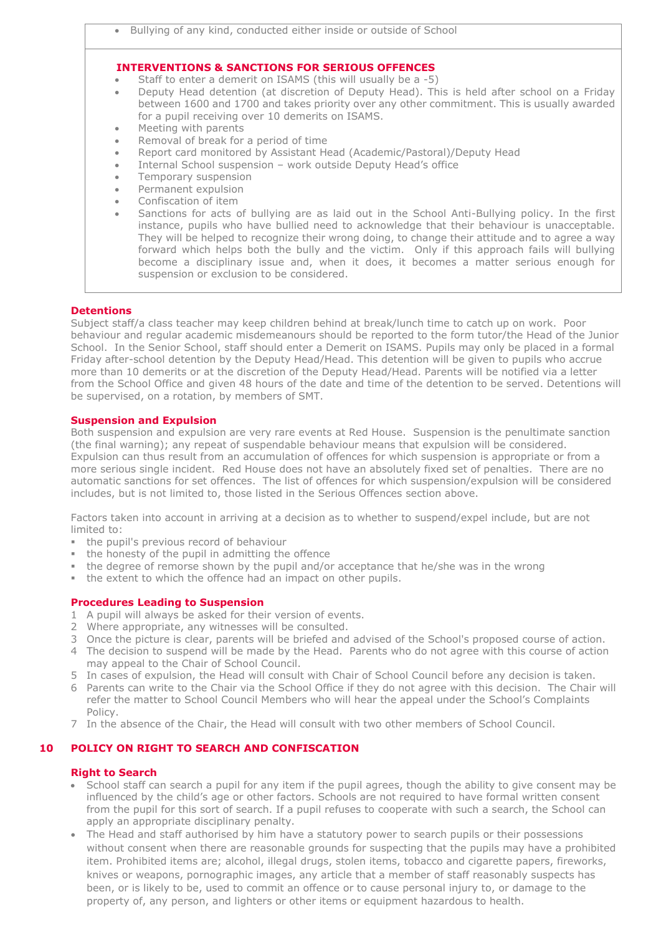|           | <b>INTERVENTIONS &amp; SANCTIONS FOR SERIOUS OFFENCES</b>                                                                                                                                                                                                                                                                                                                                                                                                                                  |  |  |
|-----------|--------------------------------------------------------------------------------------------------------------------------------------------------------------------------------------------------------------------------------------------------------------------------------------------------------------------------------------------------------------------------------------------------------------------------------------------------------------------------------------------|--|--|
| $\bullet$ | Staff to enter a demerit on ISAMS (this will usually be a -5)                                                                                                                                                                                                                                                                                                                                                                                                                              |  |  |
| $\bullet$ | Deputy Head detention (at discretion of Deputy Head). This is held after school on a Friday<br>between 1600 and 1700 and takes priority over any other commitment. This is usually awarded<br>for a pupil receiving over 10 demerits on ISAMS.                                                                                                                                                                                                                                             |  |  |
| $\bullet$ | Meeting with parents                                                                                                                                                                                                                                                                                                                                                                                                                                                                       |  |  |
| $\bullet$ | Removal of break for a period of time                                                                                                                                                                                                                                                                                                                                                                                                                                                      |  |  |
| $\bullet$ | Report card monitored by Assistant Head (Academic/Pastoral)/Deputy Head                                                                                                                                                                                                                                                                                                                                                                                                                    |  |  |
| $\bullet$ | Internal School suspension - work outside Deputy Head's office                                                                                                                                                                                                                                                                                                                                                                                                                             |  |  |
| $\bullet$ | Temporary suspension                                                                                                                                                                                                                                                                                                                                                                                                                                                                       |  |  |
| $\bullet$ | Permanent expulsion                                                                                                                                                                                                                                                                                                                                                                                                                                                                        |  |  |
| $\bullet$ | Confiscation of item                                                                                                                                                                                                                                                                                                                                                                                                                                                                       |  |  |
| $\bullet$ | Sanctions for acts of bullying are as laid out in the School Anti-Bullying policy. In the first<br>instance, pupils who have bullied need to acknowledge that their behaviour is unacceptable.<br>They will be helped to recognize their wrong doing, to change their attitude and to agree a way<br>forward which helps both the bully and the victim. Only if this approach fails will bullying<br>become a disciplinary issue and, when it does, it becomes a matter serious enough for |  |  |

## **Detentions**

Subject staff/a class teacher may keep children behind at break/lunch time to catch up on work. Poor behaviour and regular academic misdemeanours should be reported to the form tutor/the Head of the Junior School. In the Senior School, staff should enter a Demerit on ISAMS. Pupils may only be placed in a formal Friday after-school detention by the Deputy Head/Head. This detention will be given to pupils who accrue more than 10 demerits or at the discretion of the Deputy Head/Head. Parents will be notified via a letter from the School Office and given 48 hours of the date and time of the detention to be served. Detentions will be supervised, on a rotation, by members of SMT.

## **Suspension and Expulsion**

Both suspension and expulsion are very rare events at Red House. Suspension is the penultimate sanction (the final warning); any repeat of suspendable behaviour means that expulsion will be considered. Expulsion can thus result from an accumulation of offences for which suspension is appropriate or from a more serious single incident. Red House does not have an absolutely fixed set of penalties. There are no automatic sanctions for set offences. The list of offences for which suspension/expulsion will be considered includes, but is not limited to, those listed in the Serious Offences section above.

Factors taken into account in arriving at a decision as to whether to suspend/expel include, but are not limited to:

- the pupil's previous record of behaviour
- the honesty of the pupil in admitting the offence
- the degree of remorse shown by the pupil and/or acceptance that he/she was in the wrong
- the extent to which the offence had an impact on other pupils.

suspension or exclusion to be considered.

## **Procedures Leading to Suspension**

- 1 A pupil will always be asked for their version of events.
- 2 Where appropriate, any witnesses will be consulted.
- 3 Once the picture is clear, parents will be briefed and advised of the School's proposed course of action.
- 4 The decision to suspend will be made by the Head. Parents who do not agree with this course of action may appeal to the Chair of School Council.
- 5 In cases of expulsion, the Head will consult with Chair of School Council before any decision is taken.
- 6 Parents can write to the Chair via the School Office if they do not agree with this decision. The Chair will refer the matter to School Council Members who will hear the appeal under the School's Complaints Policy.
- 7 In the absence of the Chair, the Head will consult with two other members of School Council.

## **10 POLICY ON RIGHT TO SEARCH AND CONFISCATION**

## **Right to Search**

- School staff can search a pupil for any item if the pupil agrees, though the ability to give consent may be influenced by the child's age or other factors. Schools are not required to have formal written consent from the pupil for this sort of search. If a pupil refuses to cooperate with such a search, the School can apply an appropriate disciplinary penalty.
- The Head and staff authorised by him have a statutory power to search pupils or their possessions without consent when there are reasonable grounds for suspecting that the pupils may have a prohibited item. Prohibited items are; alcohol, illegal drugs, stolen items, tobacco and cigarette papers, fireworks, knives or weapons, pornographic images, any article that a member of staff reasonably suspects has been, or is likely to be, used to commit an offence or to cause personal injury to, or damage to the property of, any person, and lighters or other items or equipment hazardous to health.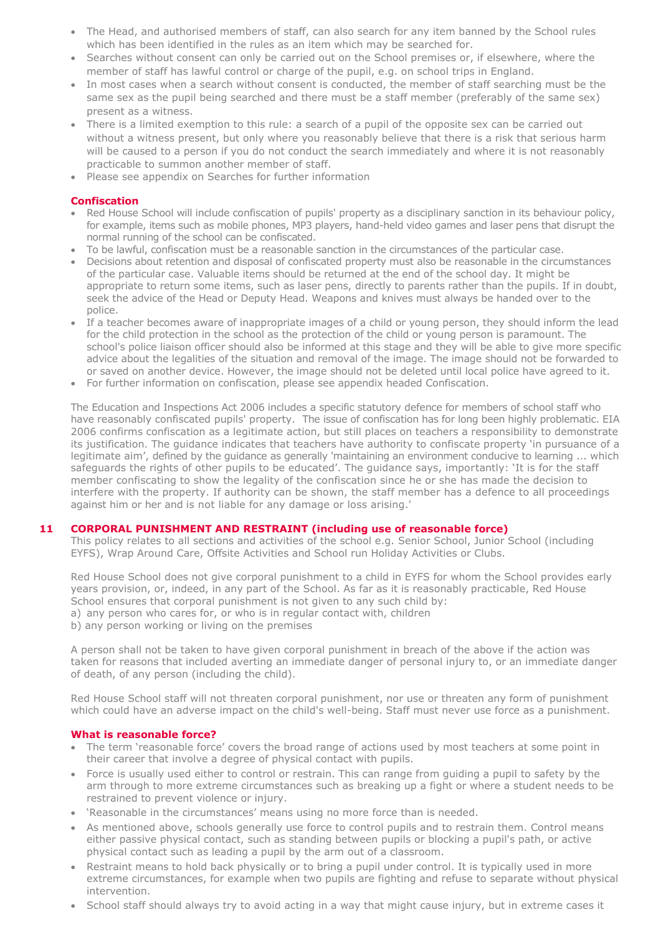- The Head, and authorised members of staff, can also search for any item banned by the School rules which has been identified in the rules as an item which may be searched for.
- Searches without consent can only be carried out on the School premises or, if elsewhere, where the member of staff has lawful control or charge of the pupil, e.g. on school trips in England.
- In most cases when a search without consent is conducted, the member of staff searching must be the same sex as the pupil being searched and there must be a staff member (preferably of the same sex) present as a witness.
- There is a limited exemption to this rule: a search of a pupil of the opposite sex can be carried out without a witness present, but only where you reasonably believe that there is a risk that serious harm will be caused to a person if you do not conduct the search immediately and where it is not reasonably practicable to summon another member of staff.
- Please see appendix on Searches for further information

## **Confiscation**

- Red House School will include confiscation of pupils' property as a disciplinary sanction in its behaviour policy, for example, items such as mobile phones, MP3 players, hand-held video games and laser pens that disrupt the normal running of the school can be confiscated.
- To be lawful, confiscation must be a reasonable sanction in the circumstances of the particular case.
- Decisions about retention and disposal of confiscated property must also be reasonable in the circumstances of the particular case. Valuable items should be returned at the end of the school day. It might be appropriate to return some items, such as laser pens, directly to parents rather than the pupils. If in doubt, seek the advice of the Head or Deputy Head. Weapons and knives must always be handed over to the police.
- If a teacher becomes aware of inappropriate images of a child or young person, they should inform the lead for the child protection in the school as the protection of the child or young person is paramount. The school's police liaison officer should also be informed at this stage and they will be able to give more specific advice about the legalities of the situation and removal of the image. The image should not be forwarded to or saved on another device. However, the image should not be deleted until local police have agreed to it.
- For further information on confiscation, please see appendix headed Confiscation.

The Education and Inspections Act 2006 includes a specific statutory defence for members of school staff who have reasonably confiscated pupils' property. The issue of confiscation has for long been highly problematic. EIA 2006 confirms confiscation as a legitimate action, but still places on teachers a responsibility to demonstrate its justification. The guidance indicates that teachers have authority to confiscate property 'in pursuance of a legitimate aim', defined by the guidance as generally 'maintaining an environment conducive to learning ... which safeguards the rights of other pupils to be educated'. The guidance says, importantly: 'It is for the staff member confiscating to show the legality of the confiscation since he or she has made the decision to interfere with the property. If authority can be shown, the staff member has a defence to all proceedings against him or her and is not liable for any damage or loss arising.'

## **11 CORPORAL PUNISHMENT AND RESTRAINT (including use of reasonable force)**

This policy relates to all sections and activities of the school e.g. Senior School, Junior School (including EYFS), Wrap Around Care, Offsite Activities and School run Holiday Activities or Clubs.

Red House School does not give corporal punishment to a child in EYFS for whom the School provides early years provision, or, indeed, in any part of the School. As far as it is reasonably practicable, Red House School ensures that corporal punishment is not given to any such child by:

a) any person who cares for, or who is in regular contact with, children

b) any person working or living on the premises

A person shall not be taken to have given corporal punishment in breach of the above if the action was taken for reasons that included averting an immediate danger of personal injury to, or an immediate danger of death, of any person (including the child).

Red House School staff will not threaten corporal punishment, nor use or threaten any form of punishment which could have an adverse impact on the child's well-being. Staff must never use force as a punishment.

## **What is reasonable force?**

- The term 'reasonable force' covers the broad range of actions used by most teachers at some point in their career that involve a degree of physical contact with pupils.
- Force is usually used either to control or restrain. This can range from guiding a pupil to safety by the arm through to more extreme circumstances such as breaking up a fight or where a student needs to be restrained to prevent violence or injury.
- 'Reasonable in the circumstances' means using no more force than is needed.
- As mentioned above, schools generally use force to control pupils and to restrain them. Control means either passive physical contact, such as standing between pupils or blocking a pupil's path, or active physical contact such as leading a pupil by the arm out of a classroom.
- Restraint means to hold back physically or to bring a pupil under control. It is typically used in more extreme circumstances, for example when two pupils are fighting and refuse to separate without physical intervention.
- School staff should always try to avoid acting in a way that might cause injury, but in extreme cases it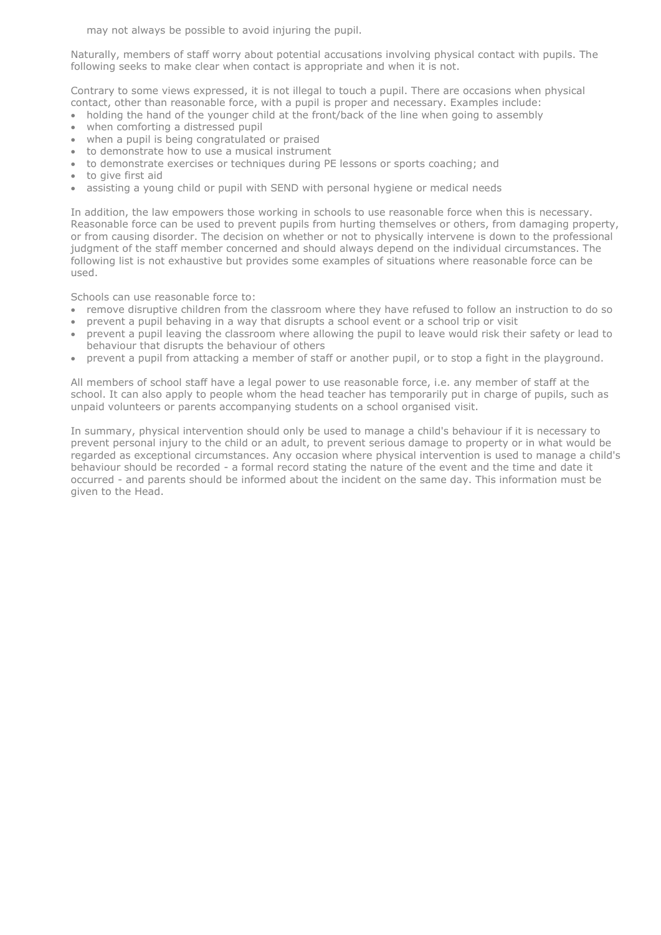may not always be possible to avoid injuring the pupil.

Naturally, members of staff worry about potential accusations involving physical contact with pupils. The following seeks to make clear when contact is appropriate and when it is not.

Contrary to some views expressed, it is not illegal to touch a pupil. There are occasions when physical contact, other than reasonable force, with a pupil is proper and necessary. Examples include:

- holding the hand of the younger child at the front/back of the line when going to assembly
- when comforting a distressed pupil
- when a pupil is being congratulated or praised
- to demonstrate how to use a musical instrument
- to demonstrate exercises or techniques during PE lessons or sports coaching; and
- to give first aid
- assisting a young child or pupil with SEND with personal hygiene or medical needs

In addition, the law empowers those working in schools to use reasonable force when this is necessary. Reasonable force can be used to prevent pupils from hurting themselves or others, from damaging property, or from causing disorder. The decision on whether or not to physically intervene is down to the professional judgment of the staff member concerned and should always depend on the individual circumstances. The following list is not exhaustive but provides some examples of situations where reasonable force can be used.

Schools can use reasonable force to:

- remove disruptive children from the classroom where they have refused to follow an instruction to do so
- prevent a pupil behaving in a way that disrupts a school event or a school trip or visit
- prevent a pupil leaving the classroom where allowing the pupil to leave would risk their safety or lead to behaviour that disrupts the behaviour of others
- prevent a pupil from attacking a member of staff or another pupil, or to stop a fight in the playground.

All members of school staff have a legal power to use reasonable force, i.e. any member of staff at the school. It can also apply to people whom the head teacher has temporarily put in charge of pupils, such as unpaid volunteers or parents accompanying students on a school organised visit.

In summary, physical intervention should only be used to manage a child's behaviour if it is necessary to prevent personal injury to the child or an adult, to prevent serious damage to property or in what would be regarded as exceptional circumstances. Any occasion where physical intervention is used to manage a child's behaviour should be recorded - a formal record stating the nature of the event and the time and date it occurred - and parents should be informed about the incident on the same day. This information must be given to the Head.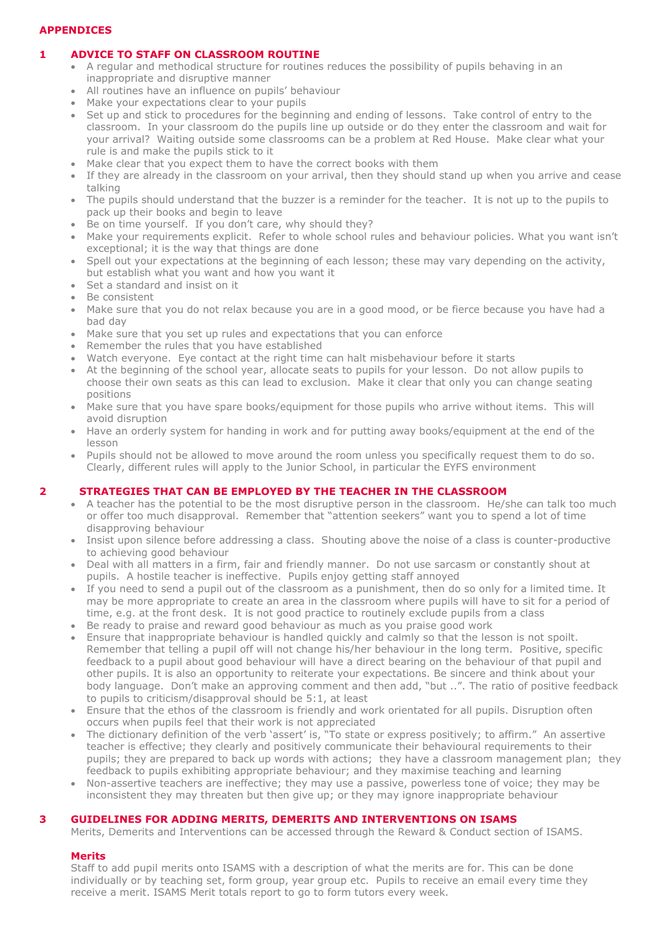## **APPENDICES**

# **1 ADVICE TO STAFF ON CLASSROOM ROUTINE**

- A regular and methodical structure for routines reduces the possibility of pupils behaving in an inappropriate and disruptive manner
- All routines have an influence on pupils' behaviour
- Make your expectations clear to your pupils
- Set up and stick to procedures for the beginning and ending of lessons. Take control of entry to the classroom. In your classroom do the pupils line up outside or do they enter the classroom and wait for your arrival? Waiting outside some classrooms can be a problem at Red House. Make clear what your rule is and make the pupils stick to it
- Make clear that you expect them to have the correct books with them
- If they are already in the classroom on your arrival, then they should stand up when you arrive and cease talking
- The pupils should understand that the buzzer is a reminder for the teacher. It is not up to the pupils to pack up their books and begin to leave
- Be on time yourself. If you don't care, why should they?
- Make your requirements explicit. Refer to whole school rules and behaviour policies. What you want isn't exceptional; it is the way that things are done
- Spell out your expectations at the beginning of each lesson; these may vary depending on the activity, but establish what you want and how you want it
- Set a standard and insist on it
- Be consistent
- Make sure that you do not relax because you are in a good mood, or be fierce because you have had a bad day
- Make sure that you set up rules and expectations that you can enforce
- Remember the rules that you have established
- Watch everyone. Eye contact at the right time can halt misbehaviour before it starts
- At the beginning of the school year, allocate seats to pupils for your lesson. Do not allow pupils to choose their own seats as this can lead to exclusion. Make it clear that only you can change seating positions
- Make sure that you have spare books/equipment for those pupils who arrive without items. This will avoid disruption
- Have an orderly system for handing in work and for putting away books/equipment at the end of the lesson
- Pupils should not be allowed to move around the room unless you specifically request them to do so. Clearly, different rules will apply to the Junior School, in particular the EYFS environment

# **2 STRATEGIES THAT CAN BE EMPLOYED BY THE TEACHER IN THE CLASSROOM**

- A teacher has the potential to be the most disruptive person in the classroom. He/she can talk too much or offer too much disapproval. Remember that "attention seekers" want you to spend a lot of time disapproving behaviour
- Insist upon silence before addressing a class. Shouting above the noise of a class is counter-productive to achieving good behaviour
- Deal with all matters in a firm, fair and friendly manner. Do not use sarcasm or constantly shout at pupils. A hostile teacher is ineffective. Pupils enjoy getting staff annoyed
- If you need to send a pupil out of the classroom as a punishment, then do so only for a limited time. It may be more appropriate to create an area in the classroom where pupils will have to sit for a period of time, e.g. at the front desk. It is not good practice to routinely exclude pupils from a class
- Be ready to praise and reward good behaviour as much as you praise good work
- Ensure that inappropriate behaviour is handled quickly and calmly so that the lesson is not spoilt. Remember that telling a pupil off will not change his/her behaviour in the long term. Positive, specific feedback to a pupil about good behaviour will have a direct bearing on the behaviour of that pupil and other pupils. It is also an opportunity to reiterate your expectations. Be sincere and think about your body language. Don't make an approving comment and then add, "but ..". The ratio of positive feedback to pupils to criticism/disapproval should be 5:1, at least
- Ensure that the ethos of the classroom is friendly and work orientated for all pupils. Disruption often occurs when pupils feel that their work is not appreciated
- The dictionary definition of the verb 'assert' is, "To state or express positively; to affirm." An assertive teacher is effective; they clearly and positively communicate their behavioural requirements to their pupils; they are prepared to back up words with actions; they have a classroom management plan; they feedback to pupils exhibiting appropriate behaviour; and they maximise teaching and learning
- Non-assertive teachers are ineffective; they may use a passive, powerless tone of voice; they may be inconsistent they may threaten but then give up; or they may ignore inappropriate behaviour

## **3 GUIDELINES FOR ADDING MERITS, DEMERITS AND INTERVENTIONS ON ISAMS**

Merits, Demerits and Interventions can be accessed through the Reward & Conduct section of ISAMS.

## **Merits**

Staff to add pupil merits onto ISAMS with a description of what the merits are for. This can be done individually or by teaching set, form group, year group etc. Pupils to receive an email every time they receive a merit. ISAMS Merit totals report to go to form tutors every week.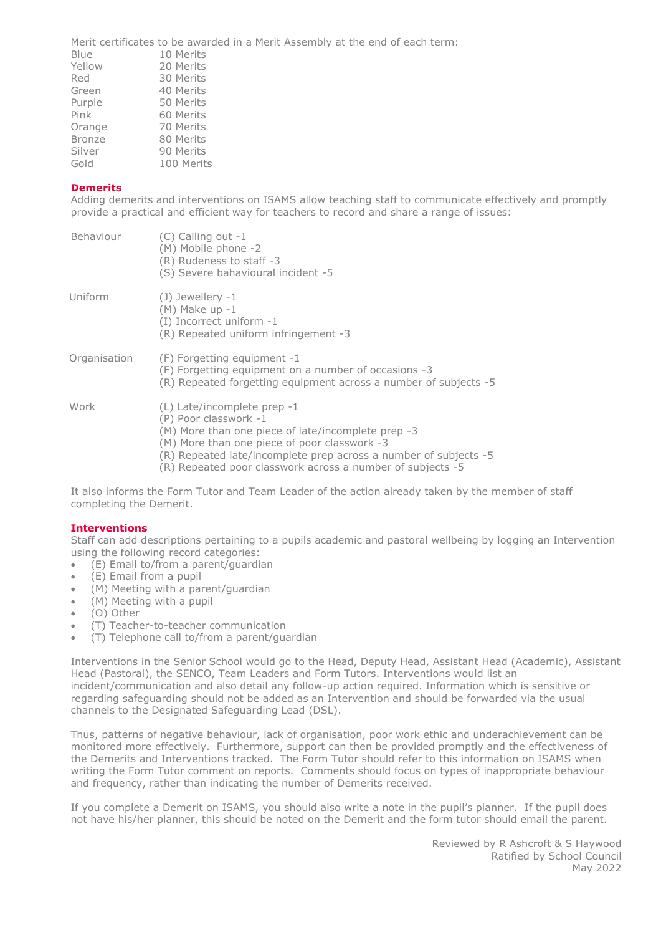Merit certificates to be awarded in a Merit Assembly at the end of each term:

| Blue          | 10 Merits  |
|---------------|------------|
| Yellow        | 20 Merits  |
| Red           | 30 Merits  |
| Green         | 40 Merits  |
| Purple        | 50 Merits  |
| Pink          | 60 Merits  |
| Orange        | 70 Merits  |
| <b>Bronze</b> | 80 Merits  |
| Silver        | 90 Merits  |
| Gold          | 100 Merits |
|               |            |

# **Demerits**

Adding demerits and interventions on ISAMS allow teaching staff to communicate effectively and promptly provide a practical and efficient way for teachers to record and share a range of issues:

| Behaviour    | (C) Calling out -1<br>(M) Mobile phone -2<br>(R) Rudeness to staff -3<br>(S) Severe bahavioural incident -5                                                                                                                                                                                    |
|--------------|------------------------------------------------------------------------------------------------------------------------------------------------------------------------------------------------------------------------------------------------------------------------------------------------|
| Uniform      | $(J)$ Jewellery -1<br>$(M)$ Make up $-1$<br>(I) Incorrect uniform -1<br>(R) Repeated uniform infringement -3                                                                                                                                                                                   |
| Organisation | (F) Forgetting equipment -1<br>(F) Forgetting equipment on a number of occasions -3<br>(R) Repeated forgetting equipment across a number of subjects -5                                                                                                                                        |
| Work         | $(L)$ Late/incomplete prep -1<br>(P) Poor classwork -1<br>(M) More than one piece of late/incomplete prep -3<br>(M) More than one piece of poor classwork -3<br>(R) Repeated late/incomplete prep across a number of subjects -5<br>(R) Repeated poor classwork across a number of subjects -5 |

It also informs the Form Tutor and Team Leader of the action already taken by the member of staff completing the Demerit.

#### **Interventions**

Staff can add descriptions pertaining to a pupils academic and pastoral wellbeing by logging an Intervention using the following record categories:

- (E) Email to/from a parent/guardian
- (E) Email from a pupil
- (M) Meeting with a parent/guardian
- (M) Meeting with a pupil
- (O) Other
- (T) Teacher-to-teacher communication
- (T) Telephone call to/from a parent/guardian

Interventions in the Senior School would go to the Head, Deputy Head, Assistant Head (Academic), Assistant Head (Pastoral), the SENCO, Team Leaders and Form Tutors. Interventions would list an incident/communication and also detail any follow-up action required. Information which is sensitive or regarding safeguarding should not be added as an Intervention and should be forwarded via the usual channels to the Designated Safeguarding Lead (DSL).

Thus, patterns of negative behaviour, lack of organisation, poor work ethic and underachievement can be monitored more effectively. Furthermore, support can then be provided promptly and the effectiveness of the Demerits and Interventions tracked. The Form Tutor should refer to this information on ISAMS when writing the Form Tutor comment on reports. Comments should focus on types of inappropriate behaviour and frequency, rather than indicating the number of Demerits received.

If you complete a Demerit on ISAMS, you should also write a note in the pupil's planner. If the pupil does not have his/her planner, this should be noted on the Demerit and the form tutor should email the parent.

> Reviewed by R Ashcroft & S Haywood Ratified by School Council May 2022